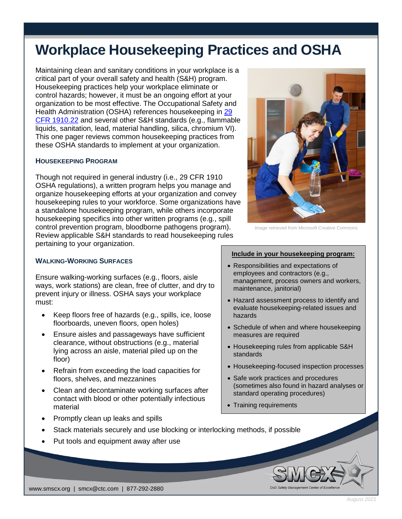# **Workplace Housekeeping Practices and OSHA**

Maintaining clean and sanitary conditions in your workplace is a critical part of your overall safety and health (S&H) program. Housekeeping practices help your workplace eliminate or control hazards; however, it must be an ongoing effort at your organization to be most effective. The Occupational Safety and Health Administration (OSHA) references housekeeping in [29](https://www.osha.gov/laws-regs/regulations/standardnumber/1910/1910.22)  [CFR 1910.22](https://www.osha.gov/laws-regs/regulations/standardnumber/1910/1910.22) and several other S&H standards (e.g., flammable liquids, sanitation, lead, material handling, silica, chromium VI). This one pager reviews common housekeeping practices from these OSHA standards to implement at your organization.

## **HOUSEKEEPING PROGRAM**

Though not required in general industry (i.e., 29 CFR 1910 OSHA regulations), a written program helps you manage and organize housekeeping efforts at your organization and convey housekeeping rules to your workforce. Some organizations have a standalone housekeeping program, while others incorporate housekeeping specifics into other written programs (e.g., spill control prevention program, bloodborne pathogens program). Review applicable S&H standards to read housekeeping rules pertaining to your organization.

# Image retrieved from Microsoft Creative Commons

# **WALKING-WORKING SURFACES**

Ensure walking-working surfaces (e.g., floors, aisle ways, work stations) are clean, free of clutter, and dry to prevent injury or illness. OSHA says your workplace must:

- Keep floors free of hazards (e.g., spills, ice, loose floorboards, uneven floors, open holes)
- Ensure aisles and passageways have sufficient clearance, without obstructions (e.g., material lying across an aisle, material piled up on the floor)
- Refrain from exceeding the load capacities for floors, shelves, and mezzanines
- Clean and decontaminate working surfaces after contact with blood or other potentially infectious material
- Promptly clean up leaks and spills

### **Include in your housekeeping program:**

- Responsibilities and expectations of employees and contractors (e.g., management, process owners and workers, maintenance, janitorial)
- Hazard assessment process to identify and evaluate housekeeping-related issues and hazards
- Schedule of when and where housekeeping measures are required
- Housekeeping rules from applicable S&H standards
- Housekeeping-focused inspection processes
- Safe work practices and procedures (sometimes also found in hazard analyses or standard operating procedures)
- Training requirements
- Stack materials securely and use blocking or interlocking methods, if possible
- Put tools and equipment away after use

www.smscx.org | smcx@ctc.com | 877-292-2880

*August 2021*